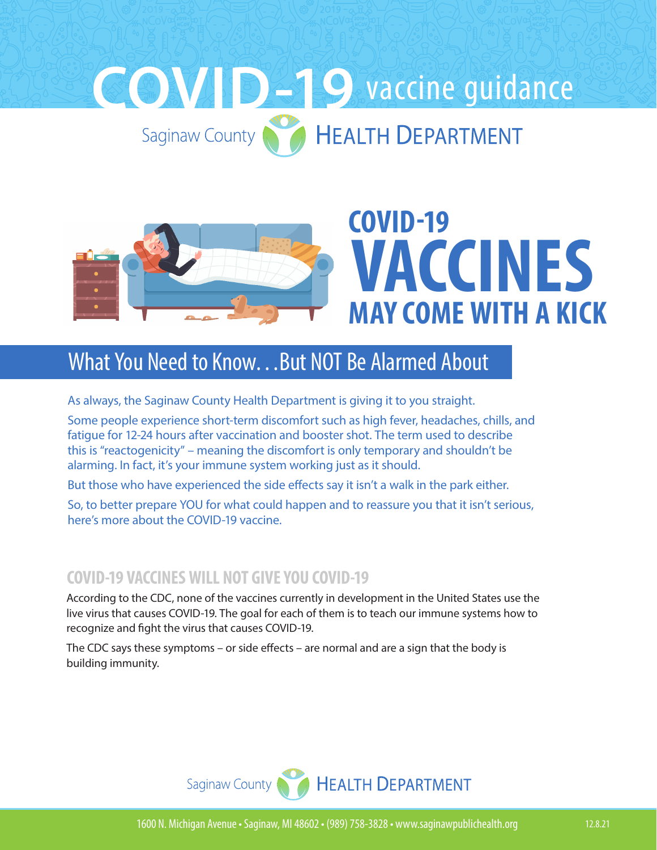

# **VACCINES MAY COME WITH A KICK COVID-19**

## What You Need to Know…But NOT Be Alarmed About

As always, the Saginaw County Health Department is giving it to you straight.

Some people experience short-term discomfort such as high fever, headaches, chills, and fatigue for 12-24 hours after vaccination and booster shot. The term used to describe this is "reactogenicity" – meaning the discomfort is only temporary and shouldn't be alarming. In fact, it's your immune system working just as it should.

But those who have experienced the side effects say it isn't a walk in the park either.

So, to better prepare YOU for what could happen and to reassure you that it isn't serious, here's more about the COVID-19 vaccine.

## **COVID-19 VACCINES WILL NOT GIVE YOU COVID-19**

According to the CDC, none of the vaccines currently in development in the United States use the live virus that causes COVID-19. The goal for each of them is to teach our immune systems how to recognize and fight the virus that causes COVID-19.

The CDC says these symptoms – or side effects – are normal and are a sign that the body is building immunity.